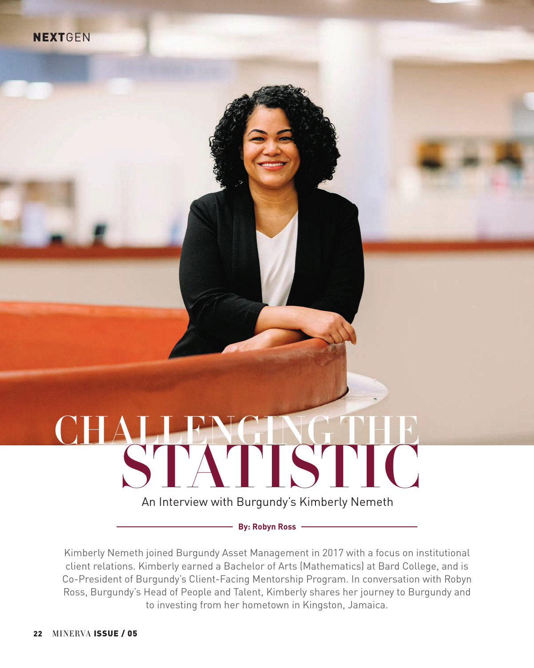# STATISTIC An Interview with Burgundy's Kimberly Nemeth CHALLENGING THE

**By: Robyn Ross**

Kimberly Nemeth joined Burgundy Asset Management in 2017 with a focus on institutional client relations. Kimberly earned a Bachelor of Arts (Mathematics) at Bard College, and is Co-President of Burgundy's Client-Facing Mentorship Program. In conversation with Robyn Ross, Burgundy's Head of People and Talent, Kimberly shares her journey to Burgundy and to investing from her hometown in Kingston, Jamaica.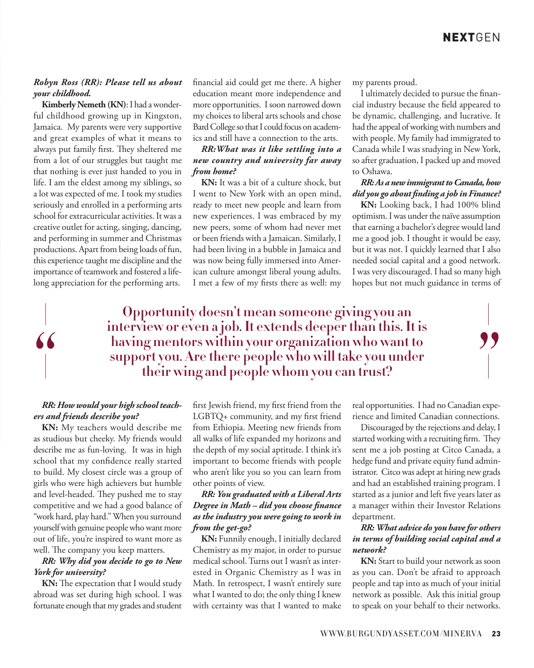#### *Robyn Ross (RR): Please tell us about your childhood.*

**Kimberly Nemeth (KN)**: I had a wonderful childhood growing up in Kingston, Jamaica. My parents were very supportive and great examples of what it means to always put family first. They sheltered me from a lot of our struggles but taught me that nothing is ever just handed to you in life. I am the eldest among my siblings, so a lot was expected of me. I took my studies seriously and enrolled in a performing arts school for extracurricular activities. It was a creative outlet for acting, singing, dancing, and performing in summer and Christmas productions. Apart from being loads of fun, this experience taught me discipline and the importance of teamwork and fostered a lifelong appreciation for the performing arts.

financial aid could get me there. A higher education meant more independence and more opportunities. I soon narrowed down my choices to liberal arts schools and chose Bard College so that I could focus on academics and still have a connection to the arts.

#### *RR:What was it like settling into a new country and university far away from home?*

**KN:** It was a bit of a culture shock, but I went to New York with an open mind, ready to meet new people and learn from new experiences. I was embraced by my new peers, some of whom had never met or been friends with a Jamaican. Similarly, I had been living in a bubble in Jamaica and was now being fully immersed into American culture amongst liberal young adults. I met a few of my firsts there as well: my my parents proud.

I ultimately decided to pursue the financial industry because the field appeared to be dynamic, challenging, and lucrative. It had the appeal of working with numbers and with people. My family had immigrated to Canada while I was studying in New York, so after graduation, I packed up and moved to Oshawa.

#### *RR: As a new immigrant to Canada, how did you go about finding a job in Finance?*

**KN:** Looking back, I had 100% blind optimism. I was under the naïve assumption that earning a bachelor's degree would land me a good job. I thought it would be easy, but it was not. I quickly learned that I also needed social capital and a good network. I was very discouraged. I had so many high hopes but not much guidance in terms of

## **Opportunity doesn't mean someone giving you an interview or even a job. It extends deeper than this. It is having mentors within your organization who want to support you. Are there people who will take you under their wing and people whom you can trust?**

#### *RR: How would your high school teachers and friends describe you?*

**KN:** My teachers would describe me as studious but cheeky. My friends would describe me as fun-loving. It was in high school that my confidence really started to build. My closest circle was a group of girls who were high achievers but humble and level-headed. They pushed me to stay competitive and we had a good balance of "work hard, play hard." When you surround yourself with genuine people who want more out of life, you're inspired to want more as well. The company you keep matters.

#### *RR: Why did you decide to go to New York for university?*

**KN:** The expectation that I would study abroad was set during high school. I was fortunate enough that my grades and student

first Jewish friend, my first friend from the LGBTQ+ community, and my first friend from Ethiopia. Meeting new friends from all walks of life expanded my horizons and the depth of my social aptitude. I think it's important to become friends with people who aren't like you so you can learn from other points of view.

#### *RR: You graduated with a Liberal Arts Degree in Math – did you choose finance as the industry you were going to work in from the get-go?*

**KN:** Funnily enough, I initially declared Chemistry as my major, in order to pursue medical school. Turns out I wasn't as interested in Organic Chemistry as I was in Math. In retrospect, I wasn't entirely sure what I wanted to do; the only thing I knew with certainty was that I wanted to make real opportunities. I had no Canadian experience and limited Canadian connections.

"

Discouraged by the rejections and delay, I started working with a recruiting firm. They sent me a job posting at Citco Canada, a hedge fund and private equity fund administrator. Citco was adept at hiring new grads and had an established training program. I started as a junior and left five years later as a manager within their Investor Relations department.

#### *RR: What advice do you have for others in terms of building social capital and a network?*

**KN:** Start to build your network as soon as you can. Don't be afraid to approach people and tap into as much of your initial network as possible. Ask this initial group to speak on your behalf to their networks.